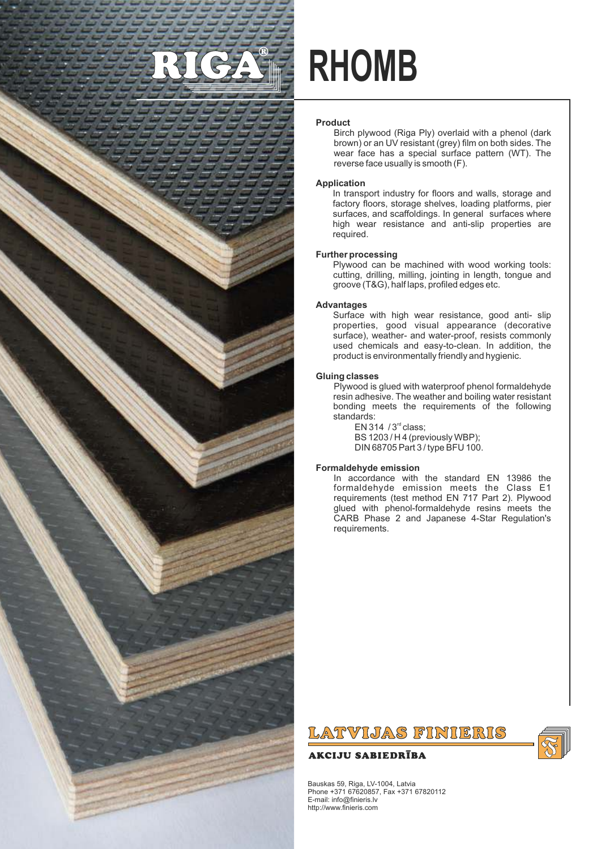

# **RHOMB**

### **Product**

Birch plywood (Riga Ply) overlaid with a phenol (dark brown) or an UV resistant (grey) film on both sides. The wear face has a special surface pattern (WT). The reverse face usually is smooth (F).

### **Application**

In transport industry for floors and walls, storage and factory floors, storage shelves, loading platforms, pier surfaces, and scaffoldings. In general surfaces where high wear resistance and anti-slip properties are required.

### **Further processing**

Plywood can be machined with wood working tools: cutting, drilling, milling, jointing in length, tongue and groove (T&G), half laps, profiled edges etc.

### **Advantages**

Surface with high wear resistance, good anti- slip properties, good visual appearance (decorative surface), weather- and water-proof, resists commonly used chemicals and easy-to-clean. In addition, the product is environmentally friendly and hygienic.

#### **Gluing classes**

Plywood is glued with waterproof phenol formaldehyde resin adhesive. The weather and boiling water resistant bonding meets the requirements of the following standards:

EN 314  $/3<sup>rd</sup>$  class; BS 1203 / H 4 (previously WBP); DIN 68705 Part 3 / type BFU 100.

# **Formaldehyde emission**

In accordance with the standard EN 13986 the formaldehyde emission meets the Class E1 requirements (test method EN 717 Part 2). Plywood glued with phenol-formaldehyde resins meets the CARB Phase 2 and Japanese 4-Star Regulation's requirements.

# LATVIJAS FINIERIS

# **AKCIJU SABIEDRĪBA**



Bauskas 59, Riga, LV-1004, Latvia Phone +371 67620857, Fax +371 67820112 E-mail: info@finieris.lv http://www.finieris.com